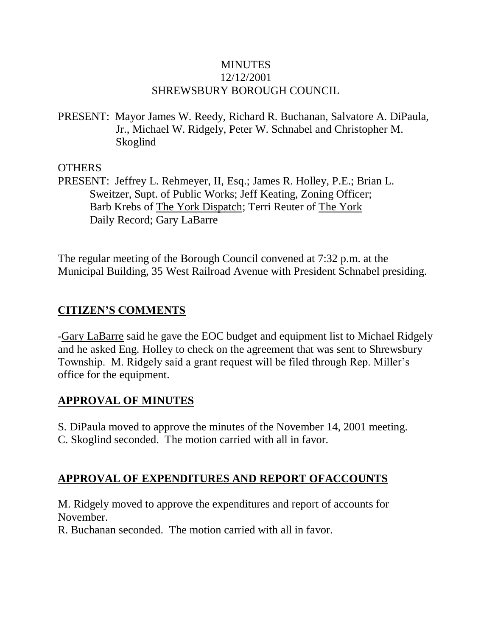### **MINUTES** 12/12/2001 SHREWSBURY BOROUGH COUNCIL

PRESENT: Mayor James W. Reedy, Richard R. Buchanan, Salvatore A. DiPaula, Jr., Michael W. Ridgely, Peter W. Schnabel and Christopher M. Skoglind

**OTHERS** 

PRESENT: Jeffrey L. Rehmeyer, II, Esq.; James R. Holley, P.E.; Brian L. Sweitzer, Supt. of Public Works; Jeff Keating, Zoning Officer; Barb Krebs of The York Dispatch; Terri Reuter of The York Daily Record; Gary LaBarre

The regular meeting of the Borough Council convened at 7:32 p.m. at the Municipal Building, 35 West Railroad Avenue with President Schnabel presiding.

## **CITIZEN'S COMMENTS**

-Gary LaBarre said he gave the EOC budget and equipment list to Michael Ridgely and he asked Eng. Holley to check on the agreement that was sent to Shrewsbury Township. M. Ridgely said a grant request will be filed through Rep. Miller's office for the equipment.

### **APPROVAL OF MINUTES**

S. DiPaula moved to approve the minutes of the November 14, 2001 meeting. C. Skoglind seconded. The motion carried with all in favor.

## **APPROVAL OF EXPENDITURES AND REPORT OFACCOUNTS**

M. Ridgely moved to approve the expenditures and report of accounts for November.

R. Buchanan seconded. The motion carried with all in favor.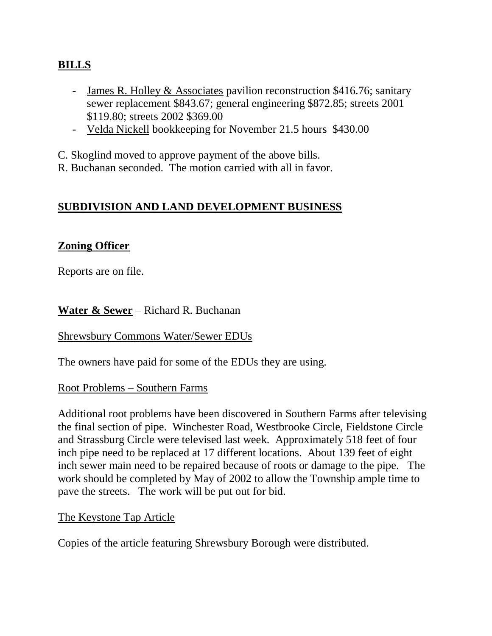## **BILLS**

- James R. Holley & Associates pavilion reconstruction \$416.76; sanitary sewer replacement \$843.67; general engineering \$872.85; streets 2001 \$119.80; streets 2002 \$369.00
- Velda Nickell bookkeeping for November 21.5 hours \$430.00

C. Skoglind moved to approve payment of the above bills.

R. Buchanan seconded. The motion carried with all in favor.

### **SUBDIVISION AND LAND DEVELOPMENT BUSINESS**

### **Zoning Officer**

Reports are on file.

**Water & Sewer** – Richard R. Buchanan

Shrewsbury Commons Water/Sewer EDUs

The owners have paid for some of the EDUs they are using.

### Root Problems – Southern Farms

Additional root problems have been discovered in Southern Farms after televising the final section of pipe. Winchester Road, Westbrooke Circle, Fieldstone Circle and Strassburg Circle were televised last week. Approximately 518 feet of four inch pipe need to be replaced at 17 different locations. About 139 feet of eight inch sewer main need to be repaired because of roots or damage to the pipe. The work should be completed by May of 2002 to allow the Township ample time to pave the streets. The work will be put out for bid.

### The Keystone Tap Article

Copies of the article featuring Shrewsbury Borough were distributed.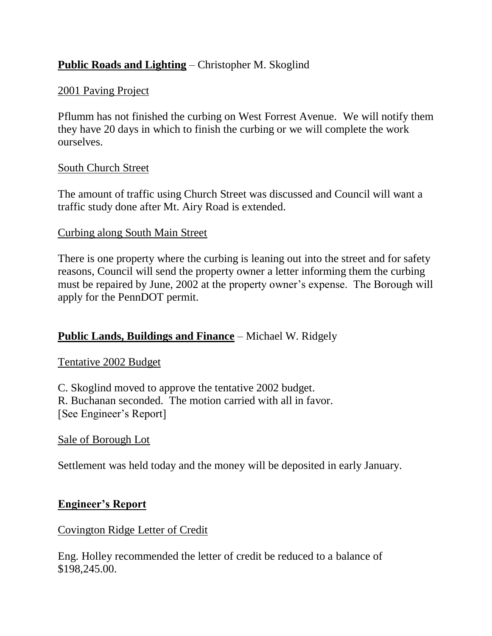## **Public Roads and Lighting** – Christopher M. Skoglind

### 2001 Paving Project

Pflumm has not finished the curbing on West Forrest Avenue. We will notify them they have 20 days in which to finish the curbing or we will complete the work ourselves.

#### South Church Street

The amount of traffic using Church Street was discussed and Council will want a traffic study done after Mt. Airy Road is extended.

#### Curbing along South Main Street

There is one property where the curbing is leaning out into the street and for safety reasons, Council will send the property owner a letter informing them the curbing must be repaired by June, 2002 at the property owner's expense. The Borough will apply for the PennDOT permit.

### **Public Lands, Buildings and Finance** – Michael W. Ridgely

### Tentative 2002 Budget

C. Skoglind moved to approve the tentative 2002 budget. R. Buchanan seconded. The motion carried with all in favor. [See Engineer's Report]

### Sale of Borough Lot

Settlement was held today and the money will be deposited in early January.

### **Engineer's Report**

#### Covington Ridge Letter of Credit

Eng. Holley recommended the letter of credit be reduced to a balance of \$198,245.00.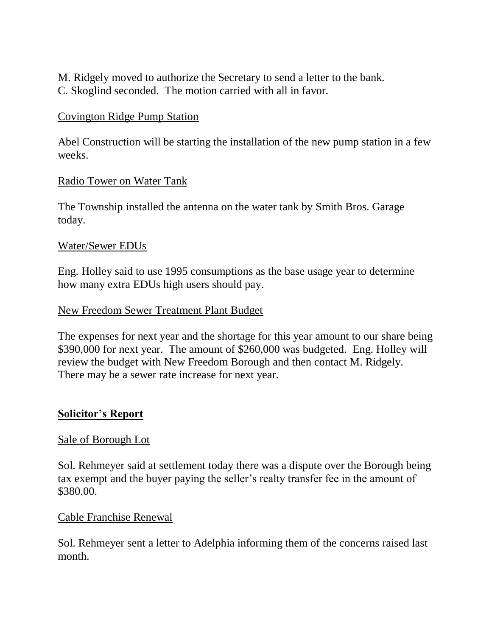M. Ridgely moved to authorize the Secretary to send a letter to the bank. C. Skoglind seconded. The motion carried with all in favor.

#### Covington Ridge Pump Station

Abel Construction will be starting the installation of the new pump station in a few weeks.

#### Radio Tower on Water Tank

The Township installed the antenna on the water tank by Smith Bros. Garage today.

#### Water/Sewer EDUs

Eng. Holley said to use 1995 consumptions as the base usage year to determine how many extra EDUs high users should pay.

#### New Freedom Sewer Treatment Plant Budget

The expenses for next year and the shortage for this year amount to our share being \$390,000 for next year. The amount of \$260,000 was budgeted. Eng. Holley will review the budget with New Freedom Borough and then contact M. Ridgely. There may be a sewer rate increase for next year.

#### **Solicitor's Report**

#### Sale of Borough Lot

Sol. Rehmeyer said at settlement today there was a dispute over the Borough being tax exempt and the buyer paying the seller's realty transfer fee in the amount of \$380.00.

#### Cable Franchise Renewal

Sol. Rehmeyer sent a letter to Adelphia informing them of the concerns raised last month.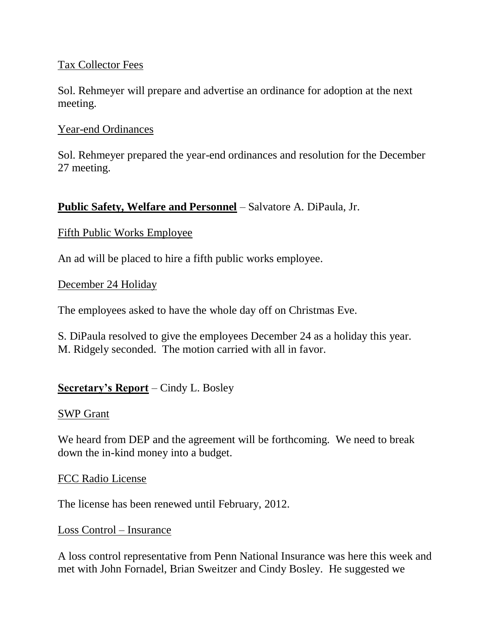### Tax Collector Fees

Sol. Rehmeyer will prepare and advertise an ordinance for adoption at the next meeting.

### Year-end Ordinances

Sol. Rehmeyer prepared the year-end ordinances and resolution for the December 27 meeting.

## **Public Safety, Welfare and Personnel** – Salvatore A. DiPaula, Jr.

### Fifth Public Works Employee

An ad will be placed to hire a fifth public works employee.

### December 24 Holiday

The employees asked to have the whole day off on Christmas Eve.

S. DiPaula resolved to give the employees December 24 as a holiday this year. M. Ridgely seconded. The motion carried with all in favor.

### **Secretary's Report** – Cindy L. Bosley

### SWP Grant

We heard from DEP and the agreement will be forthcoming. We need to break down the in-kind money into a budget.

### FCC Radio License

The license has been renewed until February, 2012.

### Loss Control – Insurance

A loss control representative from Penn National Insurance was here this week and met with John Fornadel, Brian Sweitzer and Cindy Bosley. He suggested we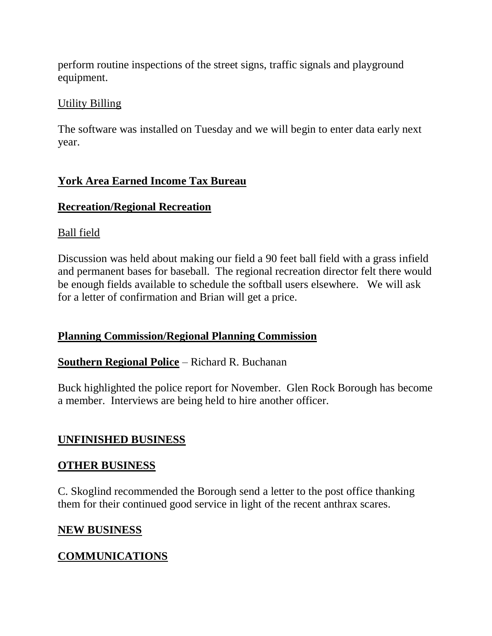perform routine inspections of the street signs, traffic signals and playground equipment.

### Utility Billing

The software was installed on Tuesday and we will begin to enter data early next year.

### **York Area Earned Income Tax Bureau**

### **Recreation/Regional Recreation**

### Ball field

Discussion was held about making our field a 90 feet ball field with a grass infield and permanent bases for baseball. The regional recreation director felt there would be enough fields available to schedule the softball users elsewhere. We will ask for a letter of confirmation and Brian will get a price.

### **Planning Commission/Regional Planning Commission**

### **Southern Regional Police** – Richard R. Buchanan

Buck highlighted the police report for November. Glen Rock Borough has become a member. Interviews are being held to hire another officer.

### **UNFINISHED BUSINESS**

### **OTHER BUSINESS**

C. Skoglind recommended the Borough send a letter to the post office thanking them for their continued good service in light of the recent anthrax scares.

### **NEW BUSINESS**

## **COMMUNICATIONS**